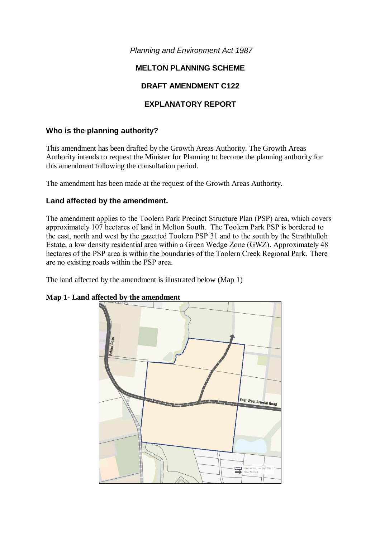*Planning and Environment Act 1987*

# **MELTON PLANNING SCHEME**

# **DRAFT AMENDMENT C122**

# **EXPLANATORY REPORT**

# **Who is the planning authority?**

This amendment has been drafted by the Growth Areas Authority. The Growth Areas Authority intends to request the Minister for Planning to become the planning authority for this amendment following the consultation period.

The amendment has been made at the request of the Growth Areas Authority.

## **Land affected by the amendment.**

The amendment applies to the Toolern Park Precinct Structure Plan (PSP) area, which covers approximately 107 hectares of land in Melton South. The Toolern Park PSP is bordered to the east, north and west by the gazetted Toolern PSP 31 and to the south by the Strathtulloh Estate, a low density residential area within a Green Wedge Zone (GWZ). Approximately 48 hectares of the PSP area is within the boundaries of the Toolern Creek Regional Park. There are no existing roads within the PSP area.

The land affected by the amendment is illustrated below (Map 1)



## **Map 1- Land affected by the amendment**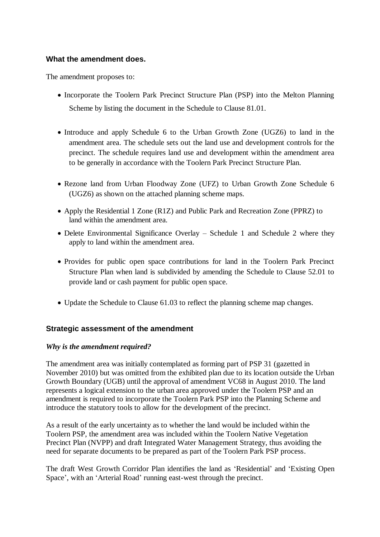## **What the amendment does.**

The amendment proposes to:

- Incorporate the Toolern Park Precinct Structure Plan (PSP) into the Melton Planning Scheme by listing the document in the Schedule to Clause 81.01.
- Introduce and apply Schedule 6 to the Urban Growth Zone (UGZ6) to land in the amendment area. The schedule sets out the land use and development controls for the precinct. The schedule requires land use and development within the amendment area to be generally in accordance with the Toolern Park Precinct Structure Plan.
- Rezone land from Urban Floodway Zone (UFZ) to Urban Growth Zone Schedule 6 (UGZ6) as shown on the attached planning scheme maps.
- Apply the Residential 1 Zone (R1Z) and Public Park and Recreation Zone (PPRZ) to land within the amendment area.
- Delete Environmental Significance Overlay Schedule 1 and Schedule 2 where they apply to land within the amendment area.
- Provides for public open space contributions for land in the Toolern Park Precinct Structure Plan when land is subdivided by amending the Schedule to Clause 52.01 to provide land or cash payment for public open space.
- Update the Schedule to Clause 61.03 to reflect the planning scheme map changes.

## **Strategic assessment of the amendment**

## *Why is the amendment required?*

The amendment area was initially contemplated as forming part of PSP 31 (gazetted in November 2010) but was omitted from the exhibited plan due to its location outside the Urban Growth Boundary (UGB) until the approval of amendment VC68 in August 2010. The land represents a logical extension to the urban area approved under the Toolern PSP and an amendment is required to incorporate the Toolern Park PSP into the Planning Scheme and introduce the statutory tools to allow for the development of the precinct.

As a result of the early uncertainty as to whether the land would be included within the Toolern PSP, the amendment area was included within the Toolern Native Vegetation Precinct Plan (NVPP) and draft Integrated Water Management Strategy, thus avoiding the need for separate documents to be prepared as part of the Toolern Park PSP process.

The draft West Growth Corridor Plan identifies the land as 'Residential' and 'Existing Open Space', with an 'Arterial Road' running east-west through the precinct.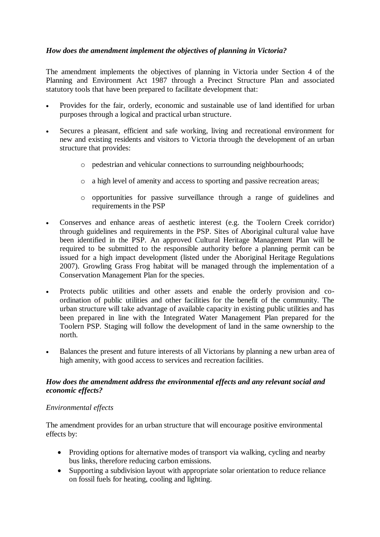# *How does the amendment implement the objectives of planning in Victoria?*

The amendment implements the objectives of planning in Victoria under Section 4 of the Planning and Environment Act 1987 through a Precinct Structure Plan and associated statutory tools that have been prepared to facilitate development that:

- Provides for the fair, orderly, economic and sustainable use of land identified for urban purposes through a logical and practical urban structure.
- Secures a pleasant, efficient and safe working, living and recreational environment for new and existing residents and visitors to Victoria through the development of an urban structure that provides:
	- o pedestrian and vehicular connections to surrounding neighbourhoods;
	- o a high level of amenity and access to sporting and passive recreation areas;
	- o opportunities for passive surveillance through a range of guidelines and requirements in the PSP
- Conserves and enhance areas of aesthetic interest (e.g. the Toolern Creek corridor) through guidelines and requirements in the PSP. Sites of Aboriginal cultural value have been identified in the PSP. An approved Cultural Heritage Management Plan will be required to be submitted to the responsible authority before a planning permit can be issued for a high impact development (listed under the Aboriginal Heritage Regulations 2007). Growling Grass Frog habitat will be managed through the implementation of a Conservation Management Plan for the species.
- Protects public utilities and other assets and enable the orderly provision and coordination of public utilities and other facilities for the benefit of the community. The urban structure will take advantage of available capacity in existing public utilities and has been prepared in line with the Integrated Water Management Plan prepared for the Toolern PSP. Staging will follow the development of land in the same ownership to the north.
- Balances the present and future interests of all Victorians by planning a new urban area of high amenity, with good access to services and recreation facilities.

## *How does the amendment address the environmental effects and any relevant social and economic effects?*

## *Environmental effects*

The amendment provides for an urban structure that will encourage positive environmental effects by:

- Providing options for alternative modes of transport via walking, cycling and nearby bus links, therefore reducing carbon emissions.
- Supporting a subdivision layout with appropriate solar orientation to reduce reliance on fossil fuels for heating, cooling and lighting.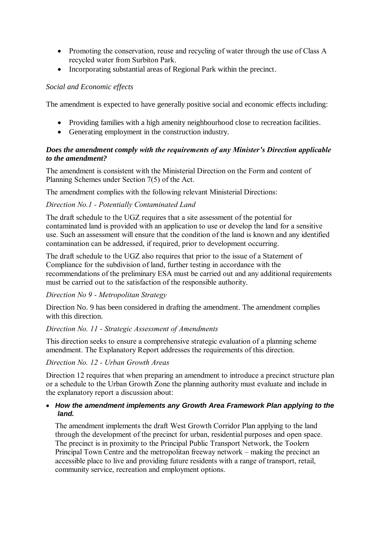- Promoting the conservation, reuse and recycling of water through the use of Class A recycled water from Surbiton Park.
- Incorporating substantial areas of Regional Park within the precinct.

# *Social and Economic effects*

The amendment is expected to have generally positive social and economic effects including:

- Providing families with a high amenity neighbourhood close to recreation facilities.
- Generating employment in the construction industry.

# *Does the amendment comply with the requirements of any Minister's Direction applicable to the amendment?*

The amendment is consistent with the Ministerial Direction on the Form and content of Planning Schemes under Section 7(5) of the Act.

The amendment complies with the following relevant Ministerial Directions:

# *Direction No.1 - Potentially Contaminated Land*

The draft schedule to the UGZ requires that a site assessment of the potential for contaminated land is provided with an application to use or develop the land for a sensitive use. Such an assessment will ensure that the condition of the land is known and any identified contamination can be addressed, if required, prior to development occurring.

The draft schedule to the UGZ also requires that prior to the issue of a Statement of Compliance for the subdivision of land, further testing in accordance with the recommendations of the preliminary ESA must be carried out and any additional requirements must be carried out to the satisfaction of the responsible authority.

## *Direction No 9 - Metropolitan Strategy*

Direction No. 9 has been considered in drafting the amendment. The amendment complies with this direction.

## *Direction No. 11 - Strategic Assessment of Amendments*

This direction seeks to ensure a comprehensive strategic evaluation of a planning scheme amendment. The Explanatory Report addresses the requirements of this direction.

## *Direction No. 12 - Urban Growth Areas*

Direction 12 requires that when preparing an amendment to introduce a precinct structure plan or a schedule to the Urban Growth Zone the planning authority must evaluate and include in the explanatory report a discussion about:

## *How the amendment implements any Growth Area Framework Plan applying to the land.*

The amendment implements the draft West Growth Corridor Plan applying to the land through the development of the precinct for urban, residential purposes and open space. The precinct is in proximity to the Principal Public Transport Network, the Toolern Principal Town Centre and the metropolitan freeway network – making the precinct an accessible place to live and providing future residents with a range of transport, retail, community service, recreation and employment options.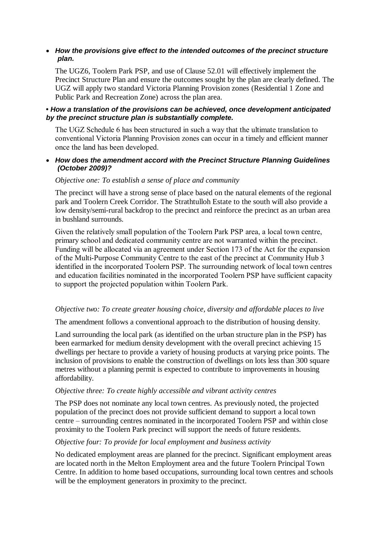### *How the provisions give effect to the intended outcomes of the precinct structure plan.*

The UGZ6, Toolern Park PSP, and use of Clause 52.01 will effectively implement the Precinct Structure Plan and ensure the outcomes sought by the plan are clearly defined. The UGZ will apply two standard Victoria Planning Provision zones (Residential 1 Zone and Public Park and Recreation Zone) across the plan area.

#### **•** *How a translation of the provisions can be achieved, once development anticipated by the precinct structure plan is substantially complete.*

The UGZ Schedule 6 has been structured in such a way that the ultimate translation to conventional Victoria Planning Provision zones can occur in a timely and efficient manner once the land has been developed.

#### *How does the amendment accord with the Precinct Structure Planning Guidelines (October 2009)?*

#### *Objective one: To establish a sense of place and community*

The precinct will have a strong sense of place based on the natural elements of the regional park and Toolern Creek Corridor. The Strathtulloh Estate to the south will also provide a low density/semi-rural backdrop to the precinct and reinforce the precinct as an urban area in bushland surrounds.

Given the relatively small population of the Toolern Park PSP area, a local town centre, primary school and dedicated community centre are not warranted within the precinct. Funding will be allocated via an agreement under Section 173 of the Act for the expansion of the Multi-Purpose Community Centre to the east of the precinct at Community Hub 3 identified in the incorporated Toolern PSP. The surrounding network of local town centres and education facilities nominated in the incorporated Toolern PSP have sufficient capacity to support the projected population within Toolern Park.

## *Objective two: To create greater housing choice, diversity and affordable places to live*

The amendment follows a conventional approach to the distribution of housing density.

Land surrounding the local park (as identified on the urban structure plan in the PSP) has been earmarked for medium density development with the overall precinct achieving 15 dwellings per hectare to provide a variety of housing products at varying price points. The inclusion of provisions to enable the construction of dwellings on lots less than 300 square metres without a planning permit is expected to contribute to improvements in housing affordability.

#### *Objective three: To create highly accessible and vibrant activity centres*

The PSP does not nominate any local town centres. As previously noted, the projected population of the precinct does not provide sufficient demand to support a local town centre – surrounding centres nominated in the incorporated Toolern PSP and within close proximity to the Toolern Park precinct will support the needs of future residents.

#### *Objective four: To provide for local employment and business activity*

No dedicated employment areas are planned for the precinct. Significant employment areas are located north in the Melton Employment area and the future Toolern Principal Town Centre. In addition to home based occupations, surrounding local town centres and schools will be the employment generators in proximity to the precinct.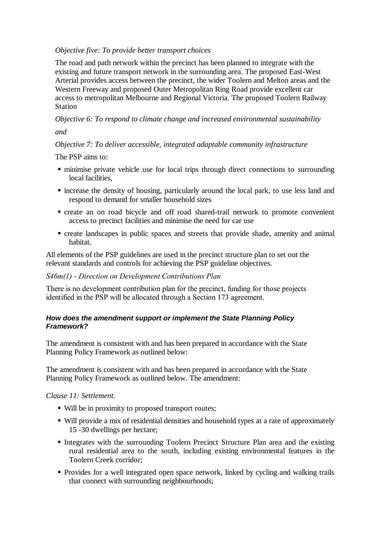### *Objective five: To provide better transport choices*

The road and path network within the precinct has been planned to integrate with the existing and future transport network in the surrounding area. The proposed East-West Arterial provides access between the precinct, the wider Toolern and Melton areas and the Western Freeway and proposed Outer Metropolitan Ring Road provide excellent car access to metropolitan Melbourne and Regional Victoria. The proposed Toolern Railway Station

*Objective 6: To respond to climate change and increased environmental sustainability*

*and*

# *Objective 7: To deliver accessible, integrated adaptable community infrastructure*

The PSP aims to:

- minimise private vehicle use for local trips through direct connections to surrounding local facilities,
- increase the density of housing, particularly around the local park, to use less land and respond to demand for smaller household sizes
- create an on road bicycle and off road shared-trail network to promote convenient access to precinct facilities and minimise the need for car use
- create landscapes in public spaces and streets that provide shade, amenity and animal habitat.

All elements of the PSP guidelines are used in the precinct structure plan to set out the relevant standards and controls for achieving the PSP guideline objectives.

## *S46m(1) - Direction on Development Contributions Plan*

There is no development contribution plan for the precinct, funding for those projects identified in the PSP will be allocated through a Section 173 agreement.

## *How does the amendment support or implement the State Planning Policy Framework?*

The amendment is consistent with and has been prepared in accordance with the State Planning Policy Framework as outlined below:

The amendment is consistent with and has been prepared in accordance with the State Planning Policy Framework as outlined below. The amendment:

*Clause 11: Settlement.*

- Will be in proximity to proposed transport routes;
- Will provide a mix of residential densities and household types at a rate of approximately 15 -30 dwellings per hectare;
- Integrates with the surrounding Toolern Precinct Structure Plan area and the existing rural residential area to the south, including existing environmental features in the Toolern Creek corridor;
- Provides for a well integrated open space network, linked by cycling and walking trails that connect with surrounding neighbourhoods;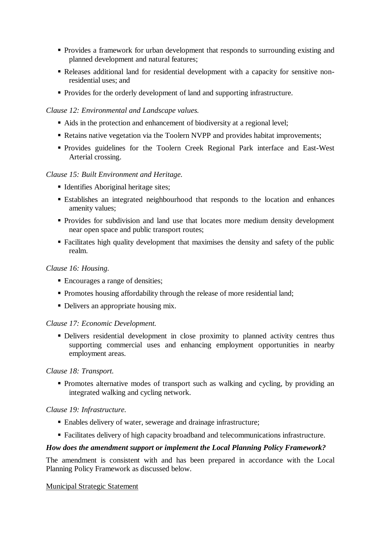- Provides a framework for urban development that responds to surrounding existing and planned development and natural features;
- Releases additional land for residential development with a capacity for sensitive nonresidential uses; and
- Provides for the orderly development of land and supporting infrastructure.

## *Clause 12: Environmental and Landscape values.*

- Aids in the protection and enhancement of biodiversity at a regional level;
- Retains native vegetation via the Toolern NVPP and provides habitat improvements;
- Provides guidelines for the Toolern Creek Regional Park interface and East-West Arterial crossing.

## *Clause 15: Built Environment and Heritage.*

- Identifies Aboriginal heritage sites;
- Establishes an integrated neighbourhood that responds to the location and enhances amenity values;
- Provides for subdivision and land use that locates more medium density development near open space and public transport routes;
- Facilitates high quality development that maximises the density and safety of the public realm.

#### *Clause 16: Housing.*

- Encourages a range of densities;
- Promotes housing affordability through the release of more residential land;
- Delivers an appropriate housing mix.

#### *Clause 17: Economic Development.*

Delivers residential development in close proximity to planned activity centres thus supporting commercial uses and enhancing employment opportunities in nearby employment areas.

#### *Clause 18: Transport.*

• Promotes alternative modes of transport such as walking and cycling, by providing an integrated walking and cycling network.

#### *Clause 19: Infrastructure.*

- Enables delivery of water, sewerage and drainage infrastructure;
- Facilitates delivery of high capacity broadband and telecommunications infrastructure.

#### *How does the amendment support or implement the Local Planning Policy Framework?*

The amendment is consistent with and has been prepared in accordance with the Local Planning Policy Framework as discussed below.

#### Municipal Strategic Statement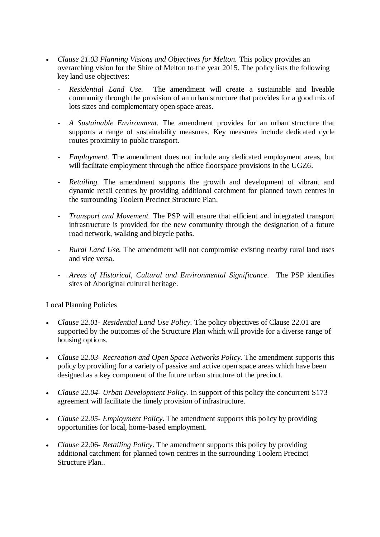- Clause 21.03 Planning Visions and Objectives for Melton. This policy provides an overarching vision for the Shire of Melton to the year 2015. The policy lists the following key land use objectives:
	- *- Residential Land Use.* The amendment will create a sustainable and liveable community through the provision of an urban structure that provides for a good mix of lots sizes and complementary open space areas.
	- *- A Sustainable Environment.* The amendment provides for an urban structure that supports a range of sustainability measures. Key measures include dedicated cycle routes proximity to public transport.
	- *Employment.* The amendment does not include any dedicated employment areas, but will facilitate employment through the office floorspace provisions in the UGZ6.
	- *- Retailing.* The amendment supports the growth and development of vibrant and dynamic retail centres by providing additional catchment for planned town centres in the surrounding Toolern Precinct Structure Plan.
	- *- Transport and Movement.* The PSP will ensure that efficient and integrated transport infrastructure is provided for the new community through the designation of a future road network, walking and bicycle paths.
	- *- Rural Land Use.* The amendment will not compromise existing nearby rural land uses and vice versa.
	- *- Areas of Historical, Cultural and Environmental Significance.* The PSP identifies sites of Aboriginal cultural heritage.

Local Planning Policies

- *Clause 22.01- Residential Land Use Policy.* The policy objectives of Clause 22.01 are supported by the outcomes of the Structure Plan which will provide for a diverse range of housing options.
- *Clause 22.03- Recreation and Open Space Networks Policy.* The amendment supports this policy by providing for a variety of passive and active open space areas which have been designed as a key component of the future urban structure of the precinct.
- *Clause 22.04- Urban Development Policy.* In support of this policy the concurrent S173 agreement will facilitate the timely provision of infrastructure.
- *Clause 22.05- Employment Policy*. The amendment supports this policy by providing opportunities for local, home-based employment.
- *Clause 22*.06- *Retailing Policy*. The amendment supports this policy by providing additional catchment for planned town centres in the surrounding Toolern Precinct Structure Plan..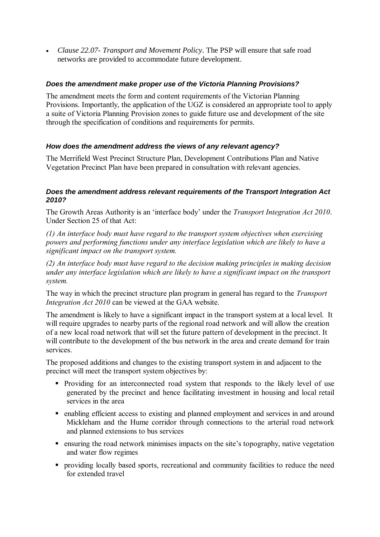*Clause 22.07- Transport and Movement Policy*. The PSP will ensure that safe road networks are provided to accommodate future development.

## *Does the amendment make proper use of the Victoria Planning Provisions?*

The amendment meets the form and content requirements of the Victorian Planning Provisions. Importantly, the application of the UGZ is considered an appropriate tool to apply a suite of Victoria Planning Provision zones to guide future use and development of the site through the specification of conditions and requirements for permits.

## *How does the amendment address the views of any relevant agency?*

The Merrifield West Precinct Structure Plan, Development Contributions Plan and Native Vegetation Precinct Plan have been prepared in consultation with relevant agencies.

## *Does the amendment address relevant requirements of the Transport Integration Act 2010?*

The Growth Areas Authority is an 'interface body' under the *Transport Integration Act 2010*. Under Section 25 of that Act:

*(1) An interface body must have regard to the transport system objectives when exercising powers and performing functions under any interface legislation which are likely to have a significant impact on the transport system.*

*(2) An interface body must have regard to the decision making principles in making decision under any interface legislation which are likely to have a significant impact on the transport system.*

The way in which the precinct structure plan program in general has regard to the *Transport Integration Act 2010* can be viewed at the GAA website.

The amendment is likely to have a significant impact in the transport system at a local level. It will require upgrades to nearby parts of the regional road network and will allow the creation of a new local road network that will set the future pattern of development in the precinct. It will contribute to the development of the bus network in the area and create demand for train services.

The proposed additions and changes to the existing transport system in and adjacent to the precinct will meet the transport system objectives by:

- Providing for an interconnected road system that responds to the likely level of use generated by the precinct and hence facilitating investment in housing and local retail services in the area
- enabling efficient access to existing and planned employment and services in and around Mickleham and the Hume corridor through connections to the arterial road network and planned extensions to bus services
- ensuring the road network minimises impacts on the site's topography, native vegetation and water flow regimes
- providing locally based sports, recreational and community facilities to reduce the need for extended travel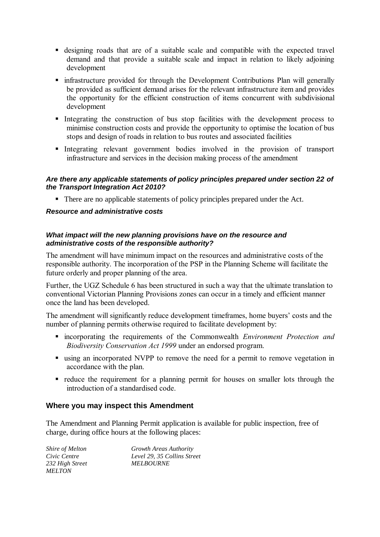- designing roads that are of a suitable scale and compatible with the expected travel demand and that provide a suitable scale and impact in relation to likely adjoining development
- infrastructure provided for through the Development Contributions Plan will generally be provided as sufficient demand arises for the relevant infrastructure item and provides the opportunity for the efficient construction of items concurrent with subdivisional development
- Integrating the construction of bus stop facilities with the development process to minimise construction costs and provide the opportunity to optimise the location of bus stops and design of roads in relation to bus routes and associated facilities
- Integrating relevant government bodies involved in the provision of transport infrastructure and services in the decision making process of the amendment

#### *Are there any applicable statements of policy principles prepared under section 22 of the Transport Integration Act 2010?*

• There are no applicable statements of policy principles prepared under the Act.

#### *Resource and administrative costs*

## *What impact will the new planning provisions have on the resource and administrative costs of the responsible authority?*

The amendment will have minimum impact on the resources and administrative costs of the responsible authority. The incorporation of the PSP in the Planning Scheme will facilitate the future orderly and proper planning of the area.

Further, the UGZ Schedule 6 has been structured in such a way that the ultimate translation to conventional Victorian Planning Provisions zones can occur in a timely and efficient manner once the land has been developed.

The amendment will significantly reduce development timeframes, home buyers' costs and the number of planning permits otherwise required to facilitate development by:

- incorporating the requirements of the Commonwealth *Environment Protection and Biodiversity Conservation Act 1999* under an endorsed program.
- using an incorporated NVPP to remove the need for a permit to remove vegetation in accordance with the plan.
- reduce the requirement for a planning permit for houses on smaller lots through the introduction of a standardised code.

## **Where you may inspect this Amendment**

The Amendment and Planning Permit application is available for public inspection, free of charge, during office hours at the following places:

| Shire of Melton | Growth Areas Authority      |
|-----------------|-----------------------------|
| Civic Centre    | Level 29, 35 Collins Street |
| 232 High Street | <i>MELBOURNE</i>            |
| <i>MELTON</i>   |                             |